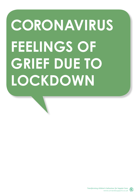# **CORONAVIRUS FEELINGS OF GRIEF DUE TO LOCKDOWN**

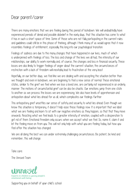#### Dear parent/carer

There are many emotions that we are feeling during this period of lockdown. We will undoubtedly have experienced periods of denial and possible disbelief in the early days, that this situation has come to what it has in such a short space of time. Some of those who are not fully participating in the current rules and guidelines could still be in this phase of thinking, although I think many of us would agree that it now resembles feelings of entitlement, especially this long into our psychological transition.

Feelings of sadness are due to the many changes that have happened in our lives, much of which is underpinned with feelings of loss. The loss and change of the lives we all had, the intensity of our relationships, our ability to work normally and, of course, the changes and loss in financial security. These losses are also likely to trigger feelings of anger about the current situation; the circumstances of restriction with a lack of freedom will inevitably lead to frustration at the very least.

Hopefully, on our better days, we feel like we are dealing with and accepting the situation better than we thought and even in lockdown, we are beginning to feel a new sense of normal. These emotional states, similar to the grief we feel when we lose a loved one, are certainly not experienced in an orderly manner. The motions of circumstantial grief can be also be chaotic. Our emotions jump from one state to another as we process the losses we are experiencing. We also have levels of apprehension and anticipation about what lies ahead for us all, which complicates our feelings further.

This anticipatory grief unsettles our sense of safety and security to what lies ahead. Even though we know this situation is temporary, it doesn't help ease these feelings now. It is important that we label what we are feeling and learn to sit with our negative emotions as they happen, so that that they move onwards. Resisting what we feel leads to a greater intensity of emotion, coupled with a desperation to get rid of them. Emotional freedom only occurs when we accept what we feel. So, name it, claim it and let the feeling move on from you. This will not only help with what you are feeling today, but how you feel after this situation has changed.

We are all doing the best we can under extremely challenging circumstances. Be patient, be kind and remember, this will change.

Take care.

The Unravel Team



Supporting you on behalf of your child's school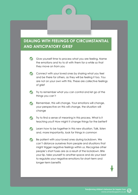#### **DEALING WITH FEELINGS OF CIRCUMSTANTIAL AND ANTICIPATORY GRIEF**

- Give yourself time to process what you are feeling. Name the emotions and try to sit with them for a while so that they move on from you
- Connect with your loved ones by sharing what you feel and be there for others, as they will be feeling it too. You are not on your own with this. These are collective feelings of grief
- Try to remember what you can control and let go of the things you can't
- Remember, this will change. Your emotions will change,  $\bullet$ your perspective on this will change, the situation will change
- **Try to find a sense of meaning in this process. What is it** teaching you? How might it change things for the better?
- **Conservation** Learn how to be together in this new situation. Talk, listen and, more importantly, look for things in common
- Be patient with your loved ones during lockdown. We  $\bullet$ can't distance ourselves from people and situations that might trigger negative feelings within us. Recognise other people's short fuses are as a result of the lockdown. Bite your lip, take yourself to another space and do your best to regulate your negative emotions for short-term and longer-term benefits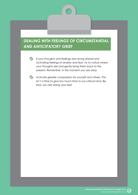#### **DEALING WITH FEELINGS OF CIRCUMSTANTIAL AND ANTICIPATORY GRIEF**



If your thoughts and feelings are racing ahead and activating feelings of anxiety and fear, try to notice where your thoughts are and gently bring them back to the present. Remember, in this moment you are okay



**C** Activate greater compassion for yourself and others. This isn't a time to give too much time to our critical mind. Be kind, you are doing your best